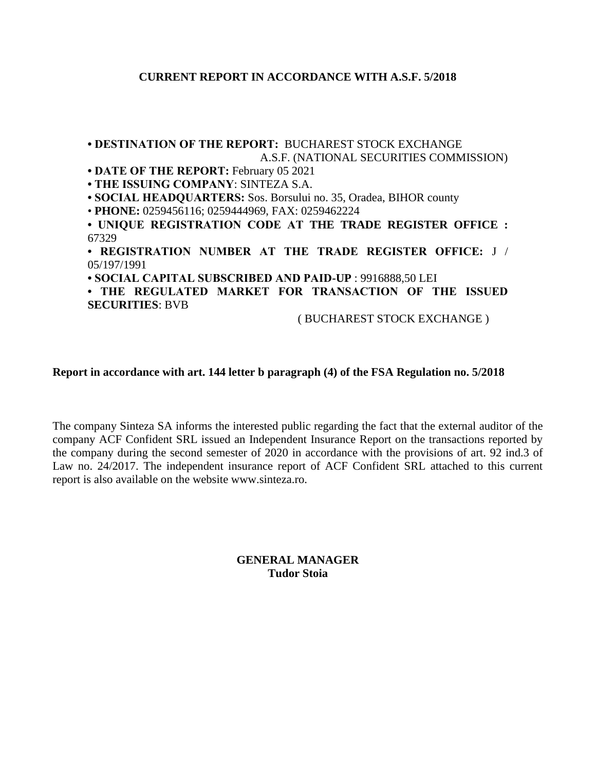## **CURRENT REPORT IN ACCORDANCE WITH A.S.F. 5/2018**

**• DESTINATION OF THE REPORT:** BUCHAREST STOCK EXCHANGE

# A.S.F. (NATIONAL SECURITIES COMMISSION) **• DATE OF THE REPORT:** February 05 2021 **• THE ISSUING COMPANY**: SINTEZA S.A. **• SOCIAL HEADQUARTERS:** Sos. Borsului no. 35, Oradea, BIHOR county • **PHONE:** 0259456116; 0259444969, FAX: 0259462224 **• UNIQUE REGISTRATION CODE AT THE TRADE REGISTER OFFICE :** 67329 **• REGISTRATION NUMBER AT THE TRADE REGISTER OFFICE:** J / 05/197/1991 **• SOCIAL CAPITAL SUBSCRIBED AND PAID-UP** : 9916888,50 LEI **• THE REGULATED MARKET FOR TRANSACTION OF THE ISSUED SECURITIES**: BVB ( BUCHAREST STOCK EXCHANGE )

## **Report in accordance with art. 144 letter b paragraph (4) of the FSA Regulation no. 5/2018**

The company Sinteza SA informs the interested public regarding the fact that the external auditor of the company ACF Confident SRL issued an Independent Insurance Report on the transactions reported by the company during the second semester of 2020 in accordance with the provisions of art. 92 ind.3 of Law no. 24/2017. The independent insurance report of ACF Confident SRL attached to this current report is also available on the website www.sinteza.ro.

> **GENERAL MANAGER Tudor Stoia**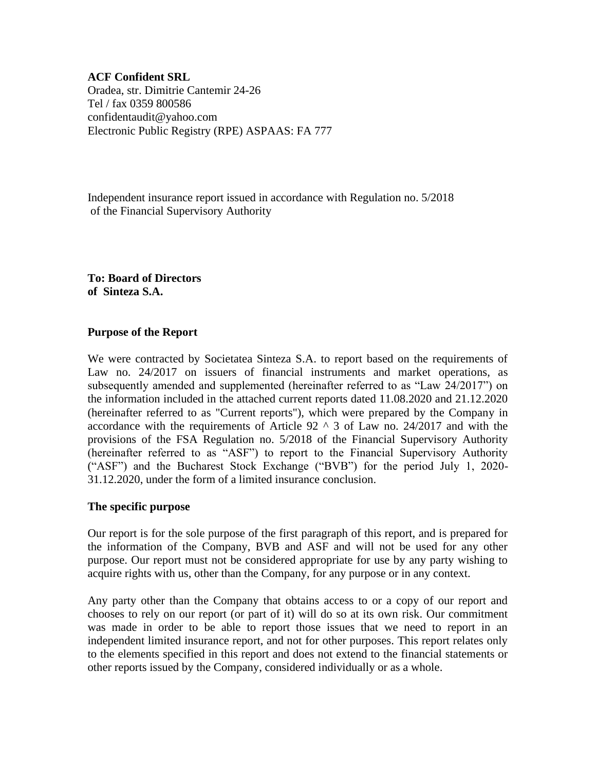**ACF Confident SRL** Oradea, str. Dimitrie Cantemir 24-26 Tel / fax 0359 800586 confidentaudit@yahoo.com Electronic Public Registry (RPE) ASPAAS: FA 777

Independent insurance report issued in accordance with Regulation no. 5/2018 of the Financial Supervisory Authority

**To: Board of Directors of Sinteza S.A.**

#### **Purpose of the Report**

We were contracted by Societatea Sinteza S.A. to report based on the requirements of Law no. 24/2017 on issuers of financial instruments and market operations, as subsequently amended and supplemented (hereinafter referred to as "Law 24/2017") on the information included in the attached current reports dated 11.08.2020 and 21.12.2020 (hereinafter referred to as "Current reports"), which were prepared by the Company in accordance with the requirements of Article  $92 \land 3$  of Law no. 24/2017 and with the provisions of the FSA Regulation no. 5/2018 of the Financial Supervisory Authority (hereinafter referred to as "ASF") to report to the Financial Supervisory Authority ("ASF") and the Bucharest Stock Exchange ("BVB") for the period July 1, 2020- 31.12.2020, under the form of a limited insurance conclusion.

#### **The specific purpose**

Our report is for the sole purpose of the first paragraph of this report, and is prepared for the information of the Company, BVB and ASF and will not be used for any other purpose. Our report must not be considered appropriate for use by any party wishing to acquire rights with us, other than the Company, for any purpose or in any context.

Any party other than the Company that obtains access to or a copy of our report and chooses to rely on our report (or part of it) will do so at its own risk. Our commitment was made in order to be able to report those issues that we need to report in an independent limited insurance report, and not for other purposes. This report relates only to the elements specified in this report and does not extend to the financial statements or other reports issued by the Company, considered individually or as a whole.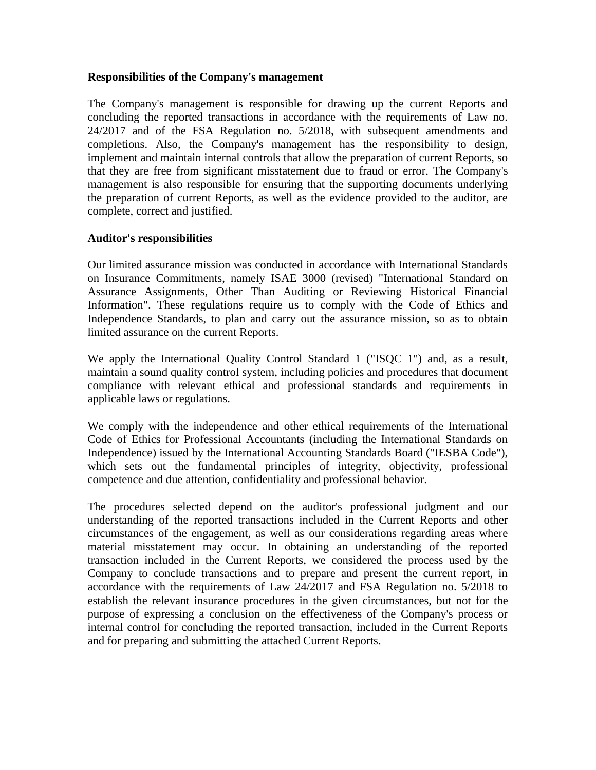#### **Responsibilities of the Company's management**

The Company's management is responsible for drawing up the current Reports and concluding the reported transactions in accordance with the requirements of Law no. 24/2017 and of the FSA Regulation no. 5/2018, with subsequent amendments and completions. Also, the Company's management has the responsibility to design, implement and maintain internal controls that allow the preparation of current Reports, so that they are free from significant misstatement due to fraud or error. The Company's management is also responsible for ensuring that the supporting documents underlying the preparation of current Reports, as well as the evidence provided to the auditor, are complete, correct and justified.

#### **Auditor's responsibilities**

Our limited assurance mission was conducted in accordance with International Standards on Insurance Commitments, namely ISAE 3000 (revised) "International Standard on Assurance Assignments, Other Than Auditing or Reviewing Historical Financial Information". These regulations require us to comply with the Code of Ethics and Independence Standards, to plan and carry out the assurance mission, so as to obtain limited assurance on the current Reports.

We apply the International Quality Control Standard 1 ("ISQC 1") and, as a result, maintain a sound quality control system, including policies and procedures that document compliance with relevant ethical and professional standards and requirements in applicable laws or regulations.

We comply with the independence and other ethical requirements of the International Code of Ethics for Professional Accountants (including the International Standards on Independence) issued by the International Accounting Standards Board ("IESBA Code"), which sets out the fundamental principles of integrity, objectivity, professional competence and due attention, confidentiality and professional behavior.

The procedures selected depend on the auditor's professional judgment and our understanding of the reported transactions included in the Current Reports and other circumstances of the engagement, as well as our considerations regarding areas where material misstatement may occur. In obtaining an understanding of the reported transaction included in the Current Reports, we considered the process used by the Company to conclude transactions and to prepare and present the current report, in accordance with the requirements of Law 24/2017 and FSA Regulation no. 5/2018 to establish the relevant insurance procedures in the given circumstances, but not for the purpose of expressing a conclusion on the effectiveness of the Company's process or internal control for concluding the reported transaction, included in the Current Reports and for preparing and submitting the attached Current Reports.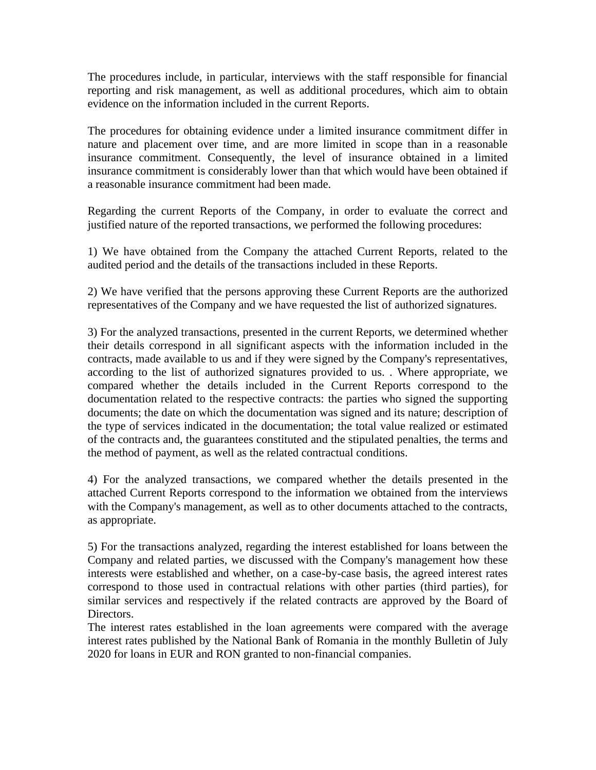The procedures include, in particular, interviews with the staff responsible for financial reporting and risk management, as well as additional procedures, which aim to obtain evidence on the information included in the current Reports.

The procedures for obtaining evidence under a limited insurance commitment differ in nature and placement over time, and are more limited in scope than in a reasonable insurance commitment. Consequently, the level of insurance obtained in a limited insurance commitment is considerably lower than that which would have been obtained if a reasonable insurance commitment had been made.

Regarding the current Reports of the Company, in order to evaluate the correct and justified nature of the reported transactions, we performed the following procedures:

1) We have obtained from the Company the attached Current Reports, related to the audited period and the details of the transactions included in these Reports.

2) We have verified that the persons approving these Current Reports are the authorized representatives of the Company and we have requested the list of authorized signatures.

3) For the analyzed transactions, presented in the current Reports, we determined whether their details correspond in all significant aspects with the information included in the contracts, made available to us and if they were signed by the Company's representatives, according to the list of authorized signatures provided to us. . Where appropriate, we compared whether the details included in the Current Reports correspond to the documentation related to the respective contracts: the parties who signed the supporting documents; the date on which the documentation was signed and its nature; description of the type of services indicated in the documentation; the total value realized or estimated of the contracts and, the guarantees constituted and the stipulated penalties, the terms and the method of payment, as well as the related contractual conditions.

4) For the analyzed transactions, we compared whether the details presented in the attached Current Reports correspond to the information we obtained from the interviews with the Company's management, as well as to other documents attached to the contracts, as appropriate.

5) For the transactions analyzed, regarding the interest established for loans between the Company and related parties, we discussed with the Company's management how these interests were established and whether, on a case-by-case basis, the agreed interest rates correspond to those used in contractual relations with other parties (third parties), for similar services and respectively if the related contracts are approved by the Board of Directors.

The interest rates established in the loan agreements were compared with the average interest rates published by the National Bank of Romania in the monthly Bulletin of July 2020 for loans in EUR and RON granted to non-financial companies.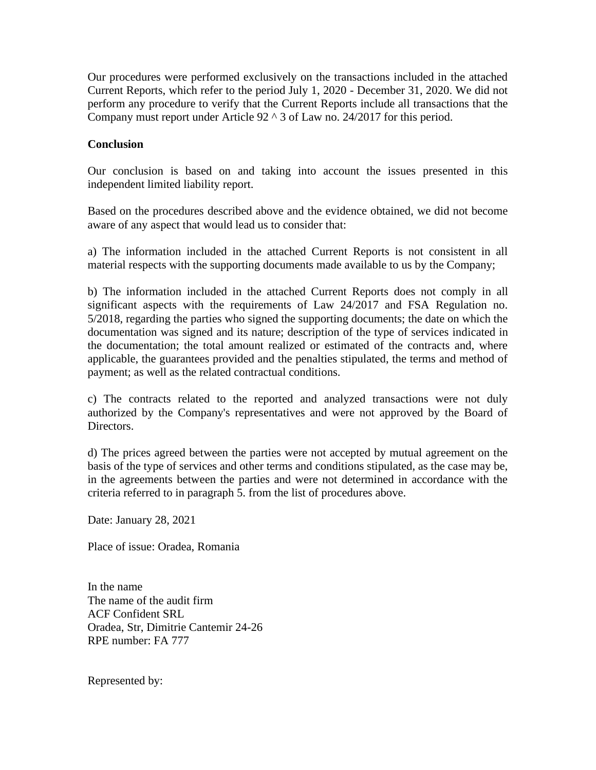Our procedures were performed exclusively on the transactions included in the attached Current Reports, which refer to the period July 1, 2020 - December 31, 2020. We did not perform any procedure to verify that the Current Reports include all transactions that the Company must report under Article  $92 \land 3$  of Law no. 24/2017 for this period.

# **Conclusion**

Our conclusion is based on and taking into account the issues presented in this independent limited liability report.

Based on the procedures described above and the evidence obtained, we did not become aware of any aspect that would lead us to consider that:

a) The information included in the attached Current Reports is not consistent in all material respects with the supporting documents made available to us by the Company;

b) The information included in the attached Current Reports does not comply in all significant aspects with the requirements of Law 24/2017 and FSA Regulation no. 5/2018, regarding the parties who signed the supporting documents; the date on which the documentation was signed and its nature; description of the type of services indicated in the documentation; the total amount realized or estimated of the contracts and, where applicable, the guarantees provided and the penalties stipulated, the terms and method of payment; as well as the related contractual conditions.

c) The contracts related to the reported and analyzed transactions were not duly authorized by the Company's representatives and were not approved by the Board of Directors.

d) The prices agreed between the parties were not accepted by mutual agreement on the basis of the type of services and other terms and conditions stipulated, as the case may be, in the agreements between the parties and were not determined in accordance with the criteria referred to in paragraph 5. from the list of procedures above.

Date: January 28, 2021

Place of issue: Oradea, Romania

In the name The name of the audit firm ACF Confident SRL Oradea, Str, Dimitrie Cantemir 24-26 RPE number: FA 777

Represented by: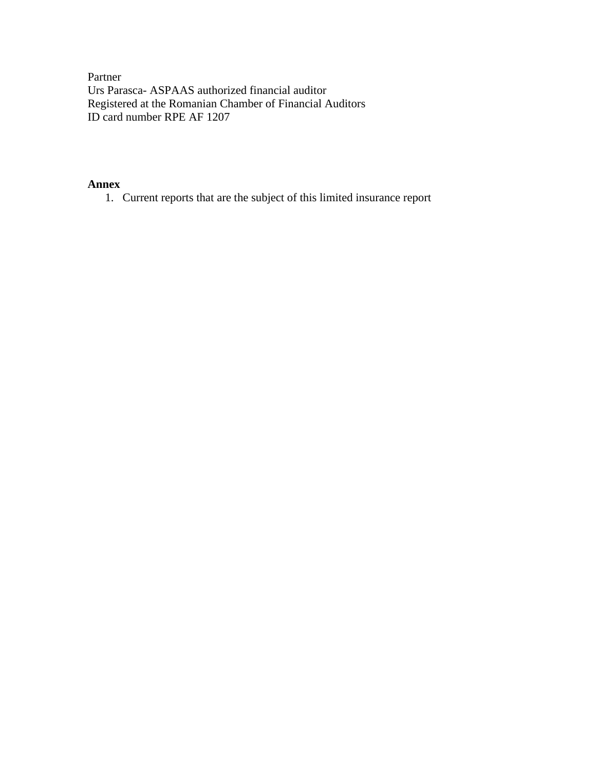Partner Urs Parasca- ASPAAS authorized financial auditor Registered at the Romanian Chamber of Financial Auditors ID card number RPE AF 1207

#### **Annex**

1. Current reports that are the subject of this limited insurance report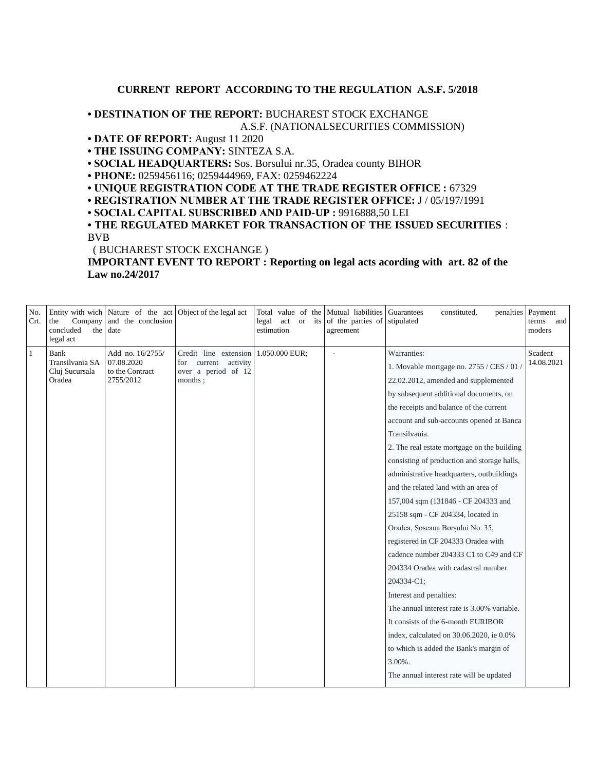#### **CURRENT REPORT ACCORDING TO THE REGULATION A.S.F. 5/2018**

#### **• DESTINATION OF THE REPORT:** BUCHAREST STOCK EXCHANGE A.S.F. (NATIONALSECURITIES COMMISSION)

#### **• DATE OF REPORT:** August 11 2020

**• THE ISSUING COMPANY:** SINTEZA S.A.

**• SOCIAL HEADQUARTERS:** Sos. Borsului nr.35, Oradea county BIHOR

**• PHONE:** 0259456116; 0259444969, FAX: 0259462224

**• UNIQUE REGISTRATION CODE AT THE TRADE REGISTER OFFICE :** 67329

**• REGISTRATION NUMBER AT THE TRADE REGISTER OFFICE:** J / 05/197/1991

**• SOCIAL CAPITAL SUBSCRIBED AND PAID-UP :** 9916888,50 LEI

**• THE REGULATED MARKET FOR TRANSACTION OF THE ISSUED SECURITIES** : BVB

( BUCHAREST STOCK EXCHANGE )

**IMPORTANT EVENT TO REPORT : Reporting on legal acts acording with art. 82 of the Law no.24/2017**

| No.<br>Crt.  | Company<br>the<br>concluded<br>legal act                   | Entity with wich Nature of the act<br>and the conclusion<br>the date | Object of the legal act                                                         | act or<br>legal<br>estimation | its | Total value of the Mutual liabilities<br>of the parties of<br>agreement | Guarantees<br>constituted,<br>penalties<br>stipulated | Payment<br>terms and<br>moders |
|--------------|------------------------------------------------------------|----------------------------------------------------------------------|---------------------------------------------------------------------------------|-------------------------------|-----|-------------------------------------------------------------------------|-------------------------------------------------------|--------------------------------|
| $\mathbf{1}$ | <b>Bank</b><br>Transilvania SA<br>Cluj Sucursala<br>Oradea | Add no. 16/2755/<br>07.08.2020<br>to the Contract<br>2755/2012       | Credit line extension<br>for current activity<br>over a period of 12<br>months; | 1.050.000 EUR;                |     | L,                                                                      | Warranties:                                           | Scadent<br>14.08.2021          |
|              |                                                            |                                                                      |                                                                                 |                               |     |                                                                         | 1. Movable mortgage no. 2755 / CES / 01 /             |                                |
|              |                                                            |                                                                      |                                                                                 |                               |     |                                                                         | 22.02.2012, amended and supplemented                  |                                |
|              |                                                            |                                                                      |                                                                                 |                               |     |                                                                         | by subsequent additional documents, on                |                                |
|              |                                                            |                                                                      |                                                                                 |                               |     |                                                                         | the receipts and balance of the current               |                                |
|              |                                                            |                                                                      |                                                                                 |                               |     |                                                                         | account and sub-accounts opened at Banca              |                                |
|              |                                                            |                                                                      |                                                                                 |                               |     |                                                                         | Transilvania.                                         |                                |
|              |                                                            |                                                                      |                                                                                 |                               |     |                                                                         | 2. The real estate mortgage on the building           |                                |
|              |                                                            |                                                                      |                                                                                 |                               |     |                                                                         | consisting of production and storage halls,           |                                |
|              |                                                            |                                                                      |                                                                                 |                               |     |                                                                         | administrative headquarters, outbuildings             |                                |
|              |                                                            |                                                                      |                                                                                 |                               |     |                                                                         | and the related land with an area of                  |                                |
|              |                                                            |                                                                      |                                                                                 |                               |     |                                                                         | 157,004 sqm (131846 - CF 204333 and                   |                                |
|              |                                                            |                                                                      |                                                                                 |                               |     |                                                                         | 25158 sqm - CF 204334, located in                     |                                |
|              |                                                            |                                                                      |                                                                                 |                               |     |                                                                         | Oradea, Soseaua Borșului No. 35,                      |                                |
|              |                                                            |                                                                      |                                                                                 |                               |     |                                                                         | registered in CF 204333 Oradea with                   |                                |
|              |                                                            |                                                                      |                                                                                 |                               |     |                                                                         | cadence number 204333 C1 to C49 and CF                |                                |
|              |                                                            |                                                                      |                                                                                 |                               |     |                                                                         | 204334 Oradea with cadastral number                   |                                |
|              |                                                            |                                                                      |                                                                                 |                               |     |                                                                         | 204334-C1;                                            |                                |
|              |                                                            |                                                                      |                                                                                 |                               |     |                                                                         | Interest and penalties:                               |                                |
|              |                                                            |                                                                      |                                                                                 |                               |     |                                                                         | The annual interest rate is 3.00% variable.           |                                |
|              |                                                            |                                                                      |                                                                                 |                               |     |                                                                         | It consists of the 6-month EURIBOR                    |                                |
|              |                                                            |                                                                      |                                                                                 |                               |     |                                                                         | index, calculated on 30.06.2020, ie 0.0%              |                                |
|              |                                                            |                                                                      |                                                                                 |                               |     |                                                                         | to which is added the Bank's margin of                |                                |
|              |                                                            |                                                                      |                                                                                 |                               |     |                                                                         | $3.00\%$ .                                            |                                |
|              |                                                            |                                                                      |                                                                                 |                               |     |                                                                         | The annual interest rate will be updated              |                                |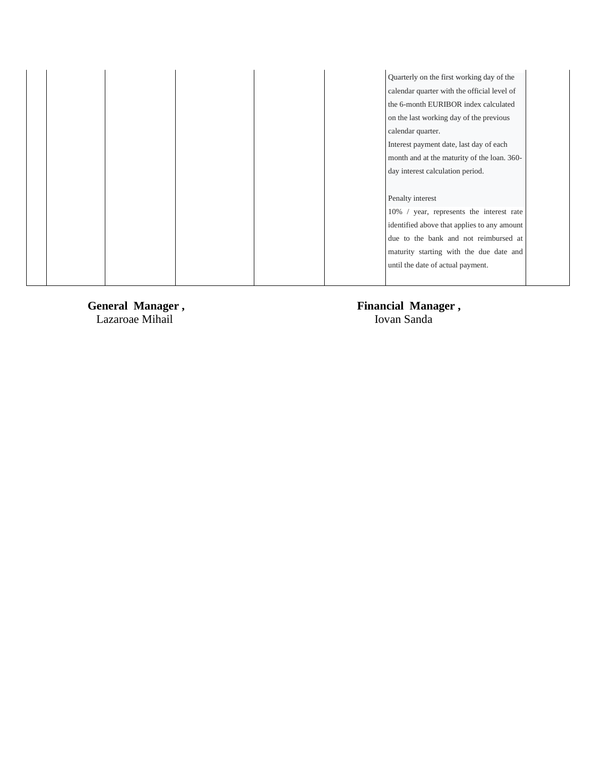|  |  | Quarterly on the first working day of the   |
|--|--|---------------------------------------------|
|  |  | calendar quarter with the official level of |
|  |  | the 6-month EURIBOR index calculated        |
|  |  | on the last working day of the previous     |
|  |  | calendar quarter.                           |
|  |  | Interest payment date, last day of each     |
|  |  | month and at the maturity of the loan. 360- |
|  |  | day interest calculation period.            |
|  |  |                                             |
|  |  | Penalty interest                            |
|  |  | 10% / year, represents the interest rate    |
|  |  | identified above that applies to any amount |
|  |  | due to the bank and not reimbursed at       |
|  |  | maturity starting with the due date and     |
|  |  | until the date of actual payment.           |
|  |  |                                             |

General Manager,<br>Lazaroae Mihail

**Financial Manager,**<br>Iovan Sanda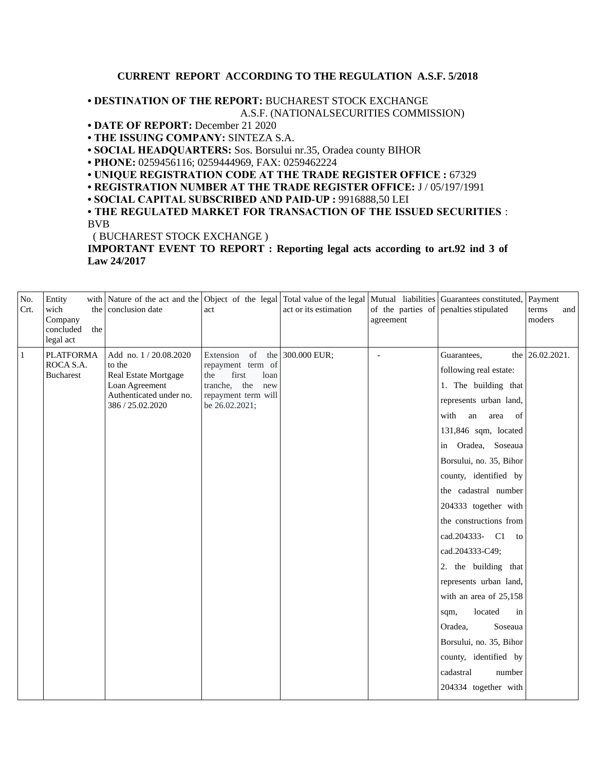#### **CURRENT REPORT ACCORDING TO THE REGULATION A.S.F. 5/2018**

**• DESTINATION OF THE REPORT:** BUCHAREST STOCK EXCHANGE A.S.F. (NATIONALSECURITIES COMMISSION)

**• DATE OF REPORT:** December 21 2020

**• THE ISSUING COMPANY:** SINTEZA S.A.

**• SOCIAL HEADQUARTERS:** Sos. Borsului nr.35, Oradea county BIHOR

**• PHONE:** 0259456116; 0259444969, FAX: 0259462224

**• UNIQUE REGISTRATION CODE AT THE TRADE REGISTER OFFICE :** 67329

**• REGISTRATION NUMBER AT THE TRADE REGISTER OFFICE:** J / 05/197/1991

**• SOCIAL CAPITAL SUBSCRIBED AND PAID-UP :** 9916888,50 LEI

**• THE REGULATED MARKET FOR TRANSACTION OF THE ISSUED SECURITIES** : BVB

( BUCHAREST STOCK EXCHANGE )

**IMPORTANT EVENT TO REPORT : Reporting legal acts according to art.92 ind 3 of Law 24/2017**

| No.<br>Crt.  | Entity<br>wich<br>Company<br>concluded<br>the<br>legal act | with Nature of the act and the Object of the legal Total value of the legal<br>the conclusion date                        | act                                                                                                                                     | act or its estimation | agreement      | Mutual liabilities Guarantees constituted,<br>of the parties of penalties stipulated                                                                                                                                                                                                                                                                                                                                                                                                                                                                                     | Payment<br>terms<br>and<br>moders |
|--------------|------------------------------------------------------------|---------------------------------------------------------------------------------------------------------------------------|-----------------------------------------------------------------------------------------------------------------------------------------|-----------------------|----------------|--------------------------------------------------------------------------------------------------------------------------------------------------------------------------------------------------------------------------------------------------------------------------------------------------------------------------------------------------------------------------------------------------------------------------------------------------------------------------------------------------------------------------------------------------------------------------|-----------------------------------|
| $\mathbf{1}$ | <b>PLATFORMA</b><br>ROCA S.A.<br><b>Bucharest</b>          | Add no. 1 / 20.08.2020<br>to the<br>Real Estate Mortgage<br>Loan Agreement<br>Authenticated under no.<br>386 / 25.02.2020 | Extension of the 300.000 EUR;<br>repayment term of<br>the<br>first<br>loan<br>tranche, the new<br>repayment term will<br>be 26.02.2021; |                       | $\overline{a}$ | Guarantees,<br>following real estate:<br>1. The building that<br>represents urban land,<br>with<br>of<br>an<br>area<br>131,846 sqm, located<br>in Oradea, Soseaua<br>Borsului, no. 35, Bihor<br>county, identified by<br>the cadastral number<br>204333 together with<br>the constructions from<br>cad.204333- C1<br>to<br>cad.204333-C49;<br>2. the building that<br>represents urban land,<br>with an area of 25,158<br>located<br>in<br>sqm,<br>Oradea,<br>Soseaua<br>Borsului, no. 35, Bihor<br>county, identified by<br>cadastral<br>number<br>204334 together with | the 26.02.2021.                   |